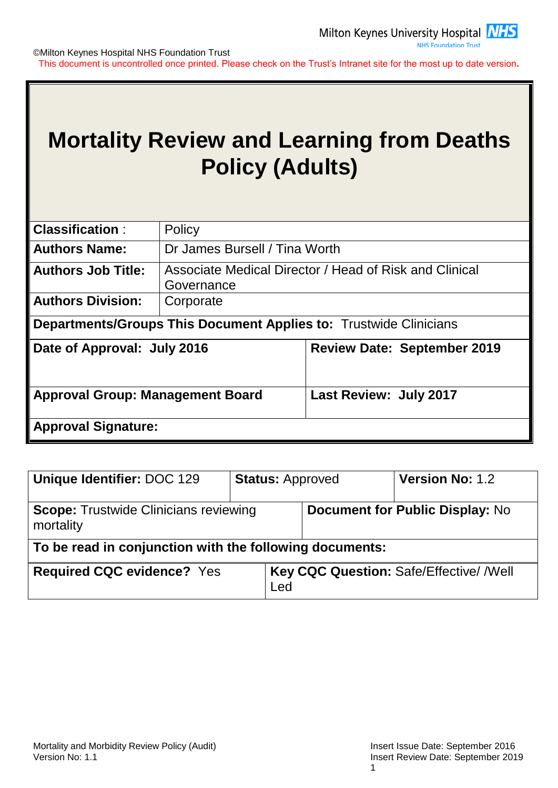

# **Mortality Review and Learning from Deaths Policy (Adults)**

| <b>Classification:</b>                                                   | Policy                                                               |                                                                          |  |  |  |  |
|--------------------------------------------------------------------------|----------------------------------------------------------------------|--------------------------------------------------------------------------|--|--|--|--|
| <b>Authors Name:</b>                                                     | Dr James Bursell / Tina Worth                                        |                                                                          |  |  |  |  |
| <b>Authors Job Title:</b>                                                | Associate Medical Director / Head of Risk and Clinical<br>Governance |                                                                          |  |  |  |  |
| <b>Authors Division:</b>                                                 | Corporate                                                            |                                                                          |  |  |  |  |
|                                                                          |                                                                      | <b>Departments/Groups This Document Applies to: Trustwide Clinicians</b> |  |  |  |  |
| Date of Approval: July 2016<br><b>Review Date: September 2019</b>        |                                                                      |                                                                          |  |  |  |  |
| <b>Last Review: July 2017</b><br><b>Approval Group: Management Board</b> |                                                                      |                                                                          |  |  |  |  |
| <b>Approval Signature:</b>                                               |                                                                      |                                                                          |  |  |  |  |

| Unique Identifier: DOC 129                                | <b>Status: Approved</b> |                                          | <b>Version No: 1.2</b> |  |  |
|-----------------------------------------------------------|-------------------------|------------------------------------------|------------------------|--|--|
| <b>Scope: Trustwide Clinicians reviewing</b><br>mortality |                         | <b>Document for Public Display: No</b>   |                        |  |  |
| To be read in conjunction with the following documents:   |                         |                                          |                        |  |  |
| <b>Required CQC evidence? Yes</b>                         |                         | Key CQC Question: Safe/Effective/ / Well |                        |  |  |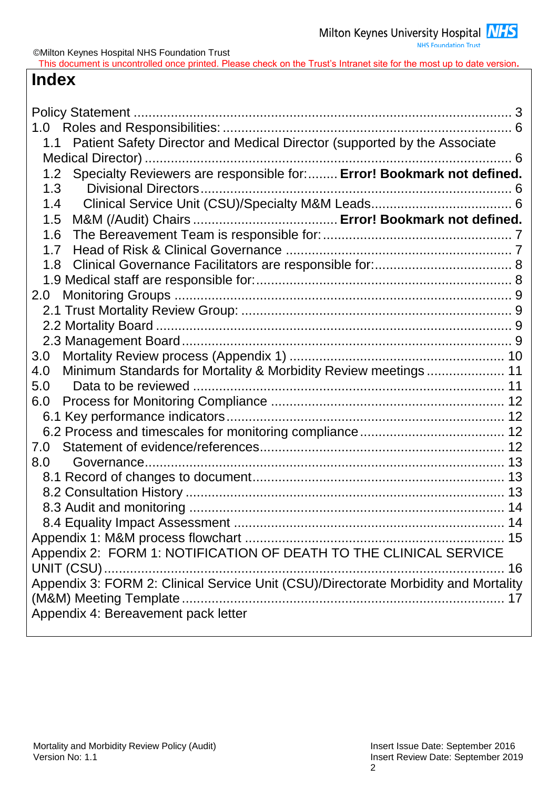**NHS Foundation Trust** 

This document is uncontrolled once printed. Please check on the Trust's Intranet site for the most up to date version**.**

## **Index**

| Patient Safety Director and Medical Director (supported by the Associate<br>1.1     |
|-------------------------------------------------------------------------------------|
|                                                                                     |
| Specialty Reviewers are responsible for: Error! Bookmark not defined.<br>1.2        |
| 1.3                                                                                 |
| 1.4                                                                                 |
| 1.5                                                                                 |
| 1.6                                                                                 |
| 1.7                                                                                 |
| 1.8                                                                                 |
|                                                                                     |
| 2.0                                                                                 |
|                                                                                     |
|                                                                                     |
|                                                                                     |
| 3.0                                                                                 |
| Minimum Standards for Mortality & Morbidity Review meetings 11<br>4.0               |
| Data to be reviewed<br>5.0                                                          |
| 6.0                                                                                 |
|                                                                                     |
|                                                                                     |
| 7.0                                                                                 |
| 8.0                                                                                 |
|                                                                                     |
|                                                                                     |
|                                                                                     |
|                                                                                     |
|                                                                                     |
| Appendix 2: FORM 1: NOTIFICATION OF DEATH TO THE CLINICAL SERVICE                   |
|                                                                                     |
| Appendix 3: FORM 2: Clinical Service Unit (CSU)/Directorate Morbidity and Mortality |
|                                                                                     |
| Appendix 4: Bereavement pack letter                                                 |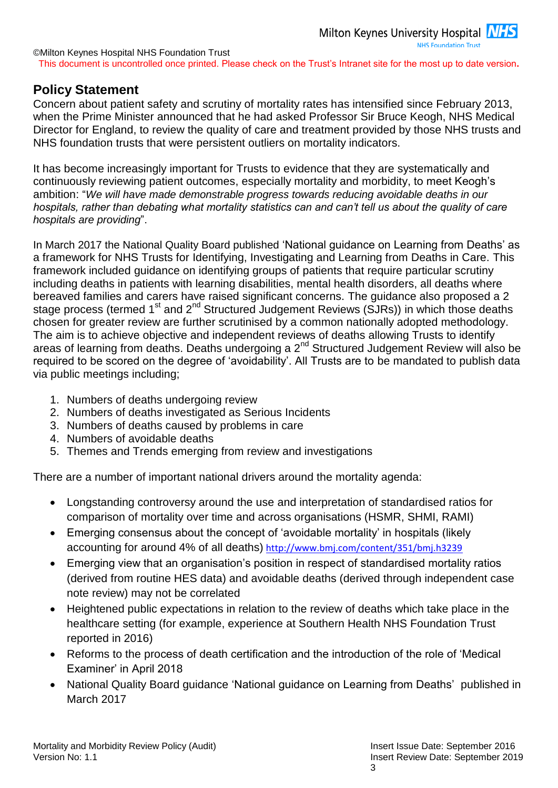### <span id="page-2-0"></span>**Policy Statement**

Concern about patient safety and scrutiny of mortality rates has intensified since February 2013, when the Prime Minister announced that he had asked Professor Sir Bruce Keogh, NHS Medical Director for England, to review the quality of care and treatment provided by those NHS trusts and NHS foundation trusts that were persistent outliers on mortality indicators.

It has become increasingly important for Trusts to evidence that they are systematically and continuously reviewing patient outcomes, especially mortality and morbidity, to meet Keogh's ambition: "*We will have made demonstrable progress towards reducing avoidable deaths in our hospitals, rather than debating what mortality statistics can and can't tell us about the quality of care hospitals are providing*".

In March 2017 the National Quality Board published 'National guidance on Learning from Deaths' as a framework for NHS Trusts for Identifying, Investigating and Learning from Deaths in Care. This framework included guidance on identifying groups of patients that require particular scrutiny including deaths in patients with learning disabilities, mental health disorders, all deaths where bereaved families and carers have raised significant concerns. The guidance also proposed a 2 stage process (termed 1<sup>st</sup> and 2<sup>nd</sup> Structured Judgement Reviews (SJRs)) in which those deaths chosen for greater review are further scrutinised by a common nationally adopted methodology. The aim is to achieve objective and independent reviews of deaths allowing Trusts to identify areas of learning from deaths. Deaths undergoing a 2nd Structured Judgement Review will also be required to be scored on the degree of 'avoidability'. All Trusts are to be mandated to publish data via public meetings including;

- 1. Numbers of deaths undergoing review
- 2. Numbers of deaths investigated as Serious Incidents
- 3. Numbers of deaths caused by problems in care
- 4. Numbers of avoidable deaths
- 5. Themes and Trends emerging from review and investigations

There are a number of important national drivers around the mortality agenda:

- Longstanding controversy around the use and interpretation of standardised ratios for comparison of mortality over time and across organisations (HSMR, SHMI, RAMI)
- Emerging consensus about the concept of 'avoidable mortality' in hospitals (likely accounting for around 4% of all deaths) <http://www.bmj.com/content/351/bmj.h3239>
- Emerging view that an organisation's position in respect of standardised mortality ratios (derived from routine HES data) and avoidable deaths (derived through independent case note review) may not be correlated
- Heightened public expectations in relation to the review of deaths which take place in the healthcare setting (for example, experience at Southern Health NHS Foundation Trust reported in 2016)
- Reforms to the process of death certification and the introduction of the role of 'Medical Examiner' in April 2018
- National Quality Board guidance 'National guidance on Learning from Deaths' published in March 2017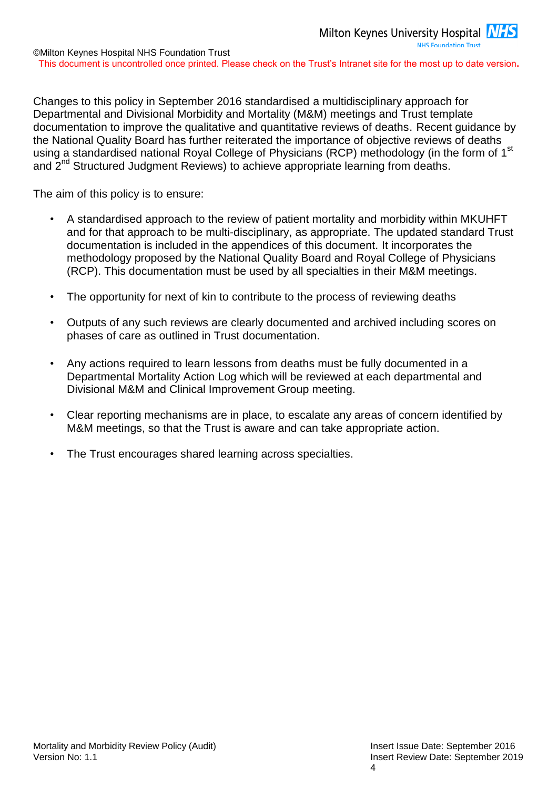Changes to this policy in September 2016 standardised a multidisciplinary approach for Departmental and Divisional Morbidity and Mortality (M&M) meetings and Trust template documentation to improve the qualitative and quantitative reviews of deaths. Recent guidance by the National Quality Board has further reiterated the importance of objective reviews of deaths using a standardised national Royal College of Physicians (RCP) methodology (in the form of 1<sup>st</sup> and 2<sup>nd</sup> Structured Judgment Reviews) to achieve appropriate learning from deaths.

The aim of this policy is to ensure:

- A standardised approach to the review of patient mortality and morbidity within MKUHFT and for that approach to be multi-disciplinary, as appropriate. The updated standard Trust documentation is included in the appendices of this document. It incorporates the methodology proposed by the National Quality Board and Royal College of Physicians (RCP). This documentation must be used by all specialties in their M&M meetings.
- The opportunity for next of kin to contribute to the process of reviewing deaths
- Outputs of any such reviews are clearly documented and archived including scores on phases of care as outlined in Trust documentation.
- Any actions required to learn lessons from deaths must be fully documented in a Departmental Mortality Action Log which will be reviewed at each departmental and Divisional M&M and Clinical Improvement Group meeting.
- Clear reporting mechanisms are in place, to escalate any areas of concern identified by M&M meetings, so that the Trust is aware and can take appropriate action.
- The Trust encourages shared learning across specialties.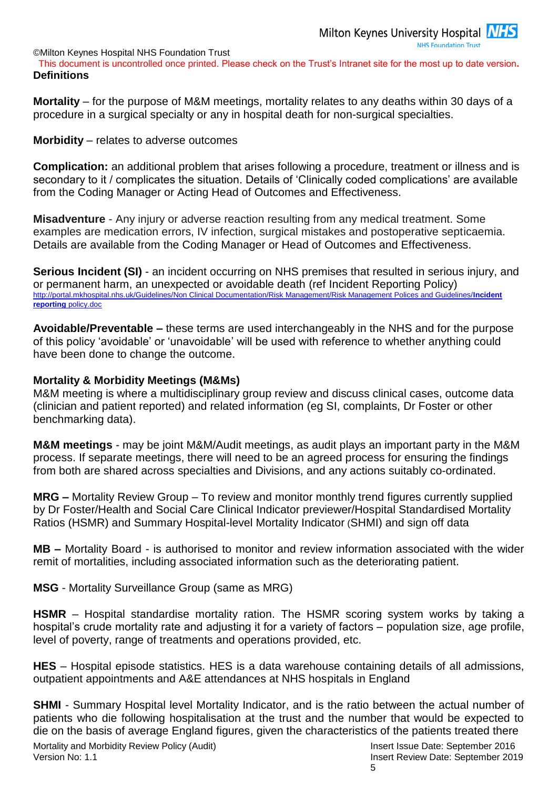This document is uncontrolled once printed. Please check on the Trust's Intranet site for the most up to date version**. Definitions**

**Mortality** – for the purpose of M&M meetings, mortality relates to any deaths within 30 days of a procedure in a surgical specialty or any in hospital death for non-surgical specialties.

**Morbidity** – relates to adverse outcomes

**Complication:** an additional problem that arises following a procedure, treatment or illness and is secondary to it / complicates the situation. Details of 'Clinically coded complications' are available from the Coding Manager or Acting Head of Outcomes and Effectiveness.

**Misadventure** - Any injury or adverse reaction resulting from any medical treatment. Some examples are medication errors, IV infection, surgical mistakes and postoperative septicaemia. Details are available from the Coding Manager or Head of Outcomes and Effectiveness.

**Serious Incident (SI)** - an incident occurring on NHS premises that resulted in serious injury, and or permanent harm, an unexpected or avoidable death (ref Incident Reporting Policy) [http://portal.mkhospital.nhs.uk/Guidelines/Non Clinical Documentation/Risk Management/Risk Management Polices and Guidelines/](http://portal.mkhospital.nhs.uk/Guidelines/Non%20Clinical%20Documentation/Risk%20Management/Risk%20Management%20Polices%20and%20Guidelines/Incident%20reporting%20policy.doc)**Incident reporting** [policy.doc](http://portal.mkhospital.nhs.uk/Guidelines/Non%20Clinical%20Documentation/Risk%20Management/Risk%20Management%20Polices%20and%20Guidelines/Incident%20reporting%20policy.doc)

**Avoidable/Preventable –** these terms are used interchangeably in the NHS and for the purpose of this policy 'avoidable' or 'unavoidable' will be used with reference to whether anything could have been done to change the outcome.

#### **Mortality & Morbidity Meetings (M&Ms)**

M&M meeting is where a multidisciplinary group review and discuss clinical cases, outcome data (clinician and patient reported) and related information (eg SI, complaints, Dr Foster or other benchmarking data).

**M&M meetings** - may be joint M&M/Audit meetings, as audit plays an important party in the M&M process. If separate meetings, there will need to be an agreed process for ensuring the findings from both are shared across specialties and Divisions, and any actions suitably co-ordinated.

**MRG –** Mortality Review Group – To review and monitor monthly trend figures currently supplied by Dr Foster/Health and Social Care Clinical Indicator previewer/Hospital Standardised Mortality Ratios (HSMR) and Summary Hospital-level Mortality Indicator (SHMI) and sign off data

**MB –** Mortality Board - is authorised to monitor and review information associated with the wider remit of mortalities, including associated information such as the deteriorating patient.

**MSG** - Mortality Surveillance Group (same as MRG)

**HSMR** – Hospital standardise mortality ration. The HSMR scoring system works by taking a hospital's crude mortality rate and adjusting it for a variety of factors – population size, age profile, level of poverty, range of treatments and operations provided, etc.

**HES** – Hospital episode statistics. HES is a data warehouse containing details of all admissions, outpatient appointments and A&E attendances at NHS hospitals in England

**SHMI** - Summary Hospital level Mortality Indicator, and is the ratio between the actual number of patients who die following hospitalisation at the trust and the number that would be expected to die on the basis of average England figures, given the characteristics of the patients treated there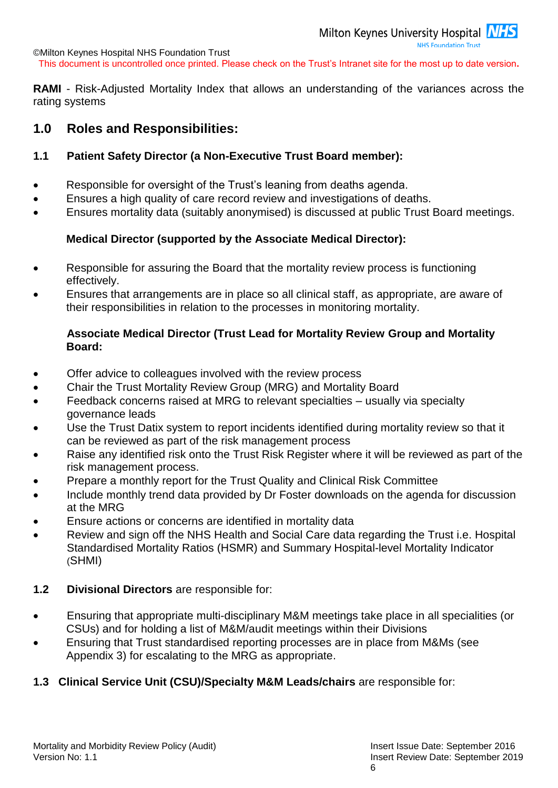**RAMI** - Risk-Adjusted Mortality Index that allows an understanding of the variances across the rating systems

### <span id="page-5-0"></span>**1.0 Roles and Responsibilities:**

### <span id="page-5-1"></span>**1.1 Patient Safety Director (a Non-Executive Trust Board member):**

- Responsible for oversight of the Trust's leaning from deaths agenda.
- Ensures a high quality of care record review and investigations of deaths.
- Ensures mortality data (suitably anonymised) is discussed at public Trust Board meetings.

### **Medical Director (supported by the Associate Medical Director):**

- Responsible for assuring the Board that the mortality review process is functioning effectively.
- Ensures that arrangements are in place so all clinical staff, as appropriate, are aware of their responsibilities in relation to the processes in monitoring mortality.

### **Associate Medical Director (Trust Lead for Mortality Review Group and Mortality Board:**

- Offer advice to colleagues involved with the review process
- Chair the Trust Mortality Review Group (MRG) and Mortality Board
- Feedback concerns raised at MRG to relevant specialties usually via specialty governance leads
- Use the Trust Datix system to report incidents identified during mortality review so that it can be reviewed as part of the risk management process
- Raise any identified risk onto the Trust Risk Register where it will be reviewed as part of the risk management process.
- Prepare a monthly report for the Trust Quality and Clinical Risk Committee
- Include monthly trend data provided by Dr Foster downloads on the agenda for discussion at the MRG
- Ensure actions or concerns are identified in mortality data
- Review and sign off the NHS Health and Social Care data regarding the Trust i.e. Hospital Standardised Mortality Ratios (HSMR) and Summary Hospital-level Mortality Indicator (SHMI)
- <span id="page-5-2"></span>**1.2 Divisional Directors** are responsible for:
- Ensuring that appropriate multi-disciplinary M&M meetings take place in all specialities (or CSUs) and for holding a list of M&M/audit meetings within their Divisions
- Ensuring that Trust standardised reporting processes are in place from M&Ms (see Appendix 3) for escalating to the MRG as appropriate.

### <span id="page-5-3"></span>**1.3 Clinical Service Unit (CSU)/Specialty M&M Leads/chairs** are responsible for: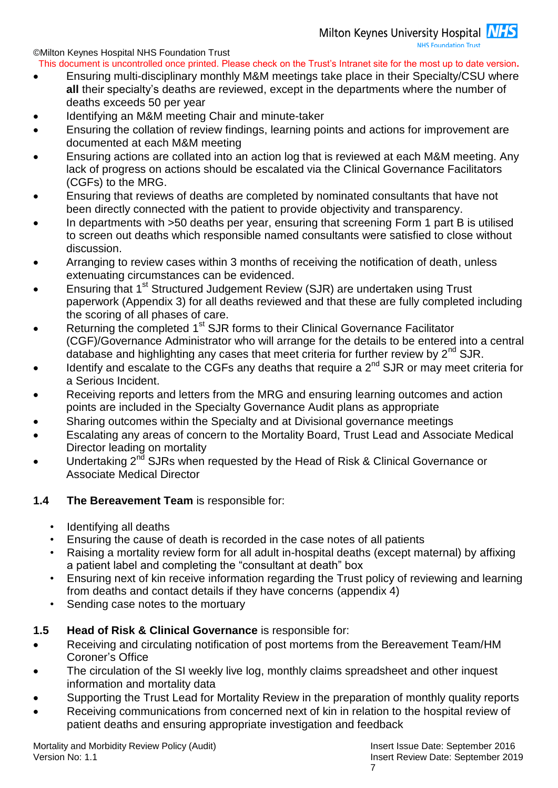- This document is uncontrolled once printed. Please check on the Trust's Intranet site for the most up to date version**.** Ensuring multi-disciplinary monthly M&M meetings take place in their Specialty/CSU where **all** their specialty's deaths are reviewed, except in the departments where the number of deaths exceeds 50 per year
- Identifying an M&M meeting Chair and minute-taker
- Ensuring the collation of review findings, learning points and actions for improvement are documented at each M&M meeting
- Ensuring actions are collated into an action log that is reviewed at each M&M meeting. Any lack of progress on actions should be escalated via the Clinical Governance Facilitators (CGFs) to the MRG.
- Ensuring that reviews of deaths are completed by nominated consultants that have not been directly connected with the patient to provide objectivity and transparency.
- In departments with >50 deaths per year, ensuring that screening Form 1 part B is utilised to screen out deaths which responsible named consultants were satisfied to close without discussion.
- Arranging to review cases within 3 months of receiving the notification of death, unless extenuating circumstances can be evidenced.
- Ensuring that 1<sup>st</sup> Structured Judgement Review (SJR) are undertaken using Trust paperwork (Appendix 3) for all deaths reviewed and that these are fully completed including the scoring of all phases of care.
- Returning the completed 1<sup>st</sup> SJR forms to their Clinical Governance Facilitator (CGF)/Governance Administrator who will arrange for the details to be entered into a central database and highlighting any cases that meet criteria for further review by  $2<sup>nd</sup>$  SJR.
- Identify and escalate to the CGFs any deaths that require a  $2^{nd}$  SJR or may meet criteria for a Serious Incident.
- Receiving reports and letters from the MRG and ensuring learning outcomes and action points are included in the Specialty Governance Audit plans as appropriate
- Sharing outcomes within the Specialty and at Divisional governance meetings
- Escalating any areas of concern to the Mortality Board, Trust Lead and Associate Medical Director leading on mortality
- Undertaking  $2^{n\bar{d}}$  SJRs when requested by the Head of Risk & Clinical Governance or Associate Medical Director

### <span id="page-6-0"></span>**1.4 The Bereavement Team** is responsible for:

- Identifying all deaths
- Ensuring the cause of death is recorded in the case notes of all patients
- Raising a mortality review form for all adult in-hospital deaths (except maternal) by affixing a patient label and completing the "consultant at death" box
- Ensuring next of kin receive information regarding the Trust policy of reviewing and learning from deaths and contact details if they have concerns (appendix 4)
- Sending case notes to the mortuary

### <span id="page-6-1"></span>**1.5 Head of Risk & Clinical Governance** is responsible for:

- Receiving and circulating notification of post mortems from the Bereavement Team/HM Coroner's Office
- The circulation of the SI weekly live log, monthly claims spreadsheet and other inquest information and mortality data
- Supporting the Trust Lead for Mortality Review in the preparation of monthly quality reports
- Receiving communications from concerned next of kin in relation to the hospital review of patient deaths and ensuring appropriate investigation and feedback

Mortality and Morbidity Review Policy (Audit) **Insert Issue Date: September 2016** Insert Issue Date: September 2016 Version No: 1.1 Insert Review Date: September 2019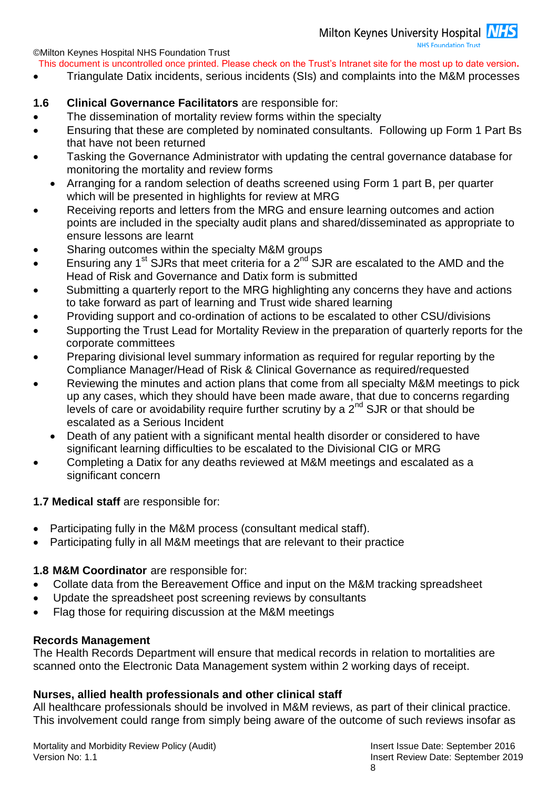This document is uncontrolled once printed. Please check on the Trust's Intranet site for the most up to date version**.**

Triangulate Datix incidents, serious incidents (SIs) and complaints into the M&M processes

### <span id="page-7-0"></span>**1.6 Clinical Governance Facilitators** are responsible for:

- The dissemination of mortality review forms within the specialty
- Ensuring that these are completed by nominated consultants. Following up Form 1 Part Bs that have not been returned
- Tasking the Governance Administrator with updating the central governance database for monitoring the mortality and review forms
	- Arranging for a random selection of deaths screened using Form 1 part B, per quarter which will be presented in highlights for review at MRG
- Receiving reports and letters from the MRG and ensure learning outcomes and action points are included in the specialty audit plans and shared/disseminated as appropriate to ensure lessons are learnt
- Sharing outcomes within the specialty M&M groups
- Ensuring any 1<sup>st</sup> SJRs that meet criteria for a  $2<sup>nd</sup>$  SJR are escalated to the AMD and the Head of Risk and Governance and Datix form is submitted
- Submitting a quarterly report to the MRG highlighting any concerns they have and actions to take forward as part of learning and Trust wide shared learning
- Providing support and co-ordination of actions to be escalated to other CSU/divisions
- Supporting the Trust Lead for Mortality Review in the preparation of quarterly reports for the corporate committees
- Preparing divisional level summary information as required for regular reporting by the Compliance Manager/Head of Risk & Clinical Governance as required/requested
- Reviewing the minutes and action plans that come from all specialty M&M meetings to pick up any cases, which they should have been made aware, that due to concerns regarding levels of care or avoidability require further scrutiny by a  $2^{nd}$  SJR or that should be escalated as a Serious Incident
	- Death of any patient with a significant mental health disorder or considered to have significant learning difficulties to be escalated to the Divisional CIG or MRG
- Completing a Datix for any deaths reviewed at M&M meetings and escalated as a significant concern

### <span id="page-7-1"></span>**1.7 Medical staff** are responsible for:

- Participating fully in the M&M process (consultant medical staff).
- Participating fully in all M&M meetings that are relevant to their practice

### **1.8 M&M Coordinator** are responsible for:

- Collate data from the Bereavement Office and input on the M&M tracking spreadsheet
- Update the spreadsheet post screening reviews by consultants
- Flag those for requiring discussion at the M&M meetings

#### **Records Management**

The Health Records Department will ensure that medical records in relation to mortalities are scanned onto the Electronic Data Management system within 2 working days of receipt.

### **Nurses, allied health professionals and other clinical staff**

All healthcare professionals should be involved in M&M reviews, as part of their clinical practice. This involvement could range from simply being aware of the outcome of such reviews insofar as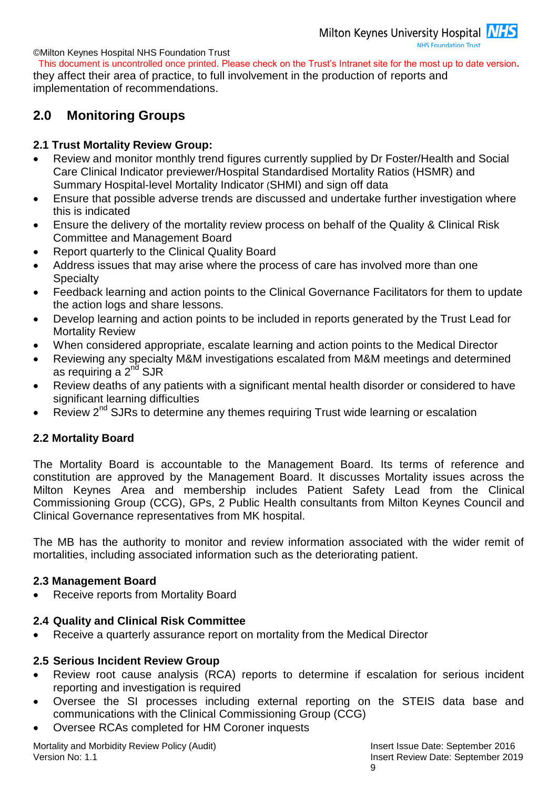This document is uncontrolled once printed. Please check on the Trust's Intranet site for the most up to date version**.** they affect their area of practice, to full involvement in the production of reports and implementation of recommendations.

### <span id="page-8-0"></span>**2.0 Monitoring Groups**

### <span id="page-8-1"></span>**2.1 Trust Mortality Review Group:**

- Review and monitor monthly trend figures currently supplied by Dr Foster/Health and Social Care Clinical Indicator previewer/Hospital Standardised Mortality Ratios (HSMR) and Summary Hospital-level Mortality Indicator (SHMI) and sign off data
- Ensure that possible adverse trends are discussed and undertake further investigation where this is indicated
- Ensure the delivery of the mortality review process on behalf of the Quality & Clinical Risk Committee and Management Board
- Report quarterly to the Clinical Quality Board
- Address issues that may arise where the process of care has involved more than one **Specialty**
- Feedback learning and action points to the Clinical Governance Facilitators for them to update the action logs and share lessons.
- Develop learning and action points to be included in reports generated by the Trust Lead for Mortality Review
- When considered appropriate, escalate learning and action points to the Medical Director
- Reviewing any specialty M&M investigations escalated from M&M meetings and determined as requiring a  $2<sup>nd</sup>$  SJR
- Review deaths of any patients with a significant mental health disorder or considered to have significant learning difficulties
- Review 2<sup>nd</sup> SJRs to determine any themes requiring Trust wide learning or escalation

### <span id="page-8-2"></span>**2.2 Mortality Board**

The Mortality Board is accountable to the Management Board. Its terms of reference and constitution are approved by the Management Board. It discusses Mortality issues across the Milton Keynes Area and membership includes Patient Safety Lead from the Clinical Commissioning Group (CCG), GPs, 2 Public Health consultants from Milton Keynes Council and Clinical Governance representatives from MK hospital.

The MB has the authority to monitor and review information associated with the wider remit of mortalities, including associated information such as the deteriorating patient.

### <span id="page-8-3"></span>**2.3 Management Board**

Receive reports from Mortality Board

### **2.4 Quality and Clinical Risk Committee**

Receive a quarterly assurance report on mortality from the Medical Director

### **2.5 Serious Incident Review Group**

- Review root cause analysis (RCA) reports to determine if escalation for serious incident reporting and investigation is required
- Oversee the SI processes including external reporting on the STEIS data base and communications with the Clinical Commissioning Group (CCG)
- Oversee RCAs completed for HM Coroner inquests

Mortality and Morbidity Review Policy (Audit) **Insert Issue Date: September 2016** Insert Issue Date: September 2016 Version No: 1.1 Insert Review Date: September 2019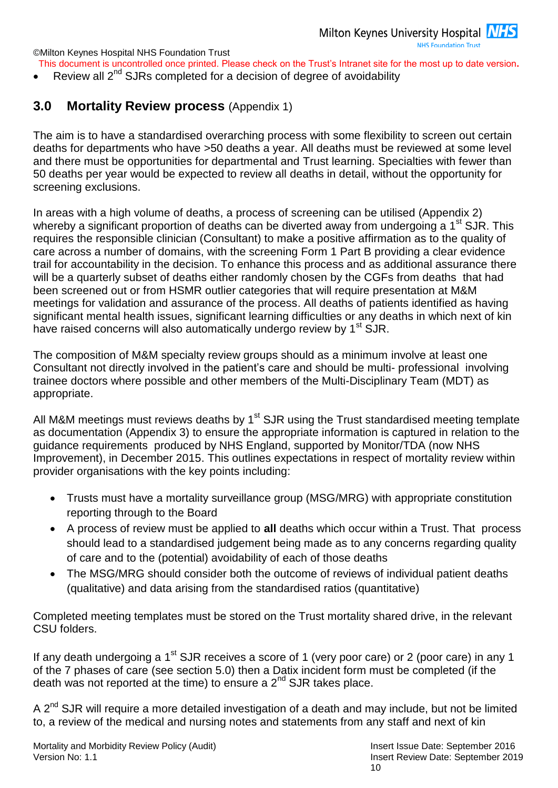- This document is uncontrolled once printed. Please check on the Trust's Intranet site for the most up to date version**.**
- Review all 2<sup>nd</sup> SJRs completed for a decision of degree of avoidability

### <span id="page-9-0"></span>**3.0 Mortality Review process** (Appendix 1)

The aim is to have a standardised overarching process with some flexibility to screen out certain deaths for departments who have >50 deaths a year. All deaths must be reviewed at some level and there must be opportunities for departmental and Trust learning. Specialties with fewer than 50 deaths per year would be expected to review all deaths in detail, without the opportunity for screening exclusions.

In areas with a high volume of deaths, a process of screening can be utilised (Appendix 2) whereby a significant proportion of deaths can be diverted away from undergoing a  $1<sup>st</sup>$  SJR. This requires the responsible clinician (Consultant) to make a positive affirmation as to the quality of care across a number of domains, with the screening Form 1 Part B providing a clear evidence trail for accountability in the decision. To enhance this process and as additional assurance there will be a quarterly subset of deaths either randomly chosen by the CGFs from deaths that had been screened out or from HSMR outlier categories that will require presentation at M&M meetings for validation and assurance of the process. All deaths of patients identified as having significant mental health issues, significant learning difficulties or any deaths in which next of kin have raised concerns will also automatically undergo review by 1<sup>st</sup> SJR.

The composition of M&M specialty review groups should as a minimum involve at least one Consultant not directly involved in the patient's care and should be multi- professional involving trainee doctors where possible and other members of the Multi-Disciplinary Team (MDT) as appropriate.

All M&M meetings must reviews deaths by 1<sup>st</sup> SJR using the Trust standardised meeting template as documentation (Appendix 3) to ensure the appropriate information is captured in relation to the guidance requirements produced by NHS England, supported by Monitor/TDA (now NHS Improvement), in December 2015. This outlines expectations in respect of mortality review within provider organisations with the key points including:

- Trusts must have a mortality surveillance group (MSG/MRG) with appropriate constitution reporting through to the Board
- A process of review must be applied to **all** deaths which occur within a Trust. That process should lead to a standardised judgement being made as to any concerns regarding quality of care and to the (potential) avoidability of each of those deaths
- The MSG/MRG should consider both the outcome of reviews of individual patient deaths (qualitative) and data arising from the standardised ratios (quantitative)

Completed meeting templates must be stored on the Trust mortality shared drive, in the relevant CSU folders.

If any death undergoing a 1<sup>st</sup> SJR receives a score of 1 (very poor care) or 2 (poor care) in any 1 of the 7 phases of care (see section 5.0) then a Datix incident form must be completed (if the death was not reported at the time) to ensure a  $2^{nd}$  SJR takes place.

A  $2^{nd}$  SJR will require a more detailed investigation of a death and may include, but not be limited to, a review of the medical and nursing notes and statements from any staff and next of kin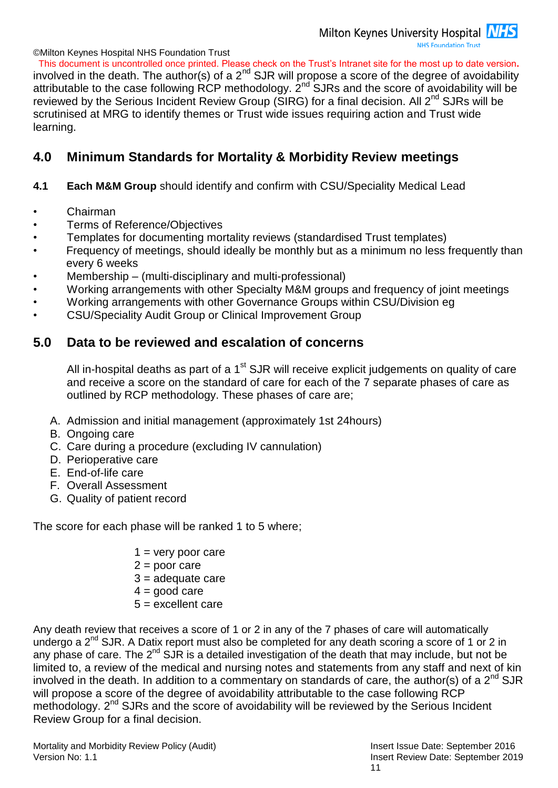This document is uncontrolled once printed. Please check on the Trust's Intranet site for the most up to date version**.** involved in the death. The author(s) of a 2<sup>nd</sup> SJR will propose a score of the degree of avoidability attributable to the case following RCP methodology. 2nd SJRs and the score of avoidability will be reviewed by the Serious Incident Review Group (SIRG) for a final decision. All 2<sup>nd</sup> SJRs will be scrutinised at MRG to identify themes or Trust wide issues requiring action and Trust wide learning.

### <span id="page-10-0"></span>**4.0 Minimum Standards for Mortality & Morbidity Review meetings**

### **4.1 Each M&M Group** should identify and confirm with CSU/Speciality Medical Lead

- Chairman
- Terms of Reference/Objectives
- Templates for documenting mortality reviews (standardised Trust templates)
- Frequency of meetings, should ideally be monthly but as a minimum no less frequently than every 6 weeks
- Membership (multi-disciplinary and multi-professional)
- Working arrangements with other Specialty M&M groups and frequency of joint meetings
- Working arrangements with other Governance Groups within CSU/Division eg
- CSU/Speciality Audit Group or Clinical Improvement Group

### <span id="page-10-1"></span>**5.0 Data to be reviewed and escalation of concerns**

All in-hospital deaths as part of a 1<sup>st</sup> SJR will receive explicit judgements on quality of care and receive a score on the standard of care for each of the 7 separate phases of care as outlined by RCP methodology. These phases of care are;

- A. Admission and initial management (approximately 1st 24hours)
- B. Ongoing care
- C. Care during a procedure (excluding IV cannulation)
- D. Perioperative care
- E. End-of-life care
- F. Overall Assessment
- G. Quality of patient record

The score for each phase will be ranked 1 to 5 where;

- $1 =$  very poor care
- $2 =$  poor care
- $3 =$  adequate care
- $4 =$  good care
- $5 =$  excellent care

Any death review that receives a score of 1 or 2 in any of the 7 phases of care will automatically undergo a 2<sup>nd</sup> SJR. A Datix report must also be completed for any death scoring a score of 1 or 2 in any phase of care. The 2<sup>nd</sup> SJR is a detailed investigation of the death that may include, but not be limited to, a review of the medical and nursing notes and statements from any staff and next of kin involved in the death. In addition to a commentary on standards of care, the author(s) of a  $2^{nd}$  SJR will propose a score of the degree of avoidability attributable to the case following RCP methodology. 2<sup>nd</sup> SJRs and the score of avoidability will be reviewed by the Serious Incident Review Group for a final decision.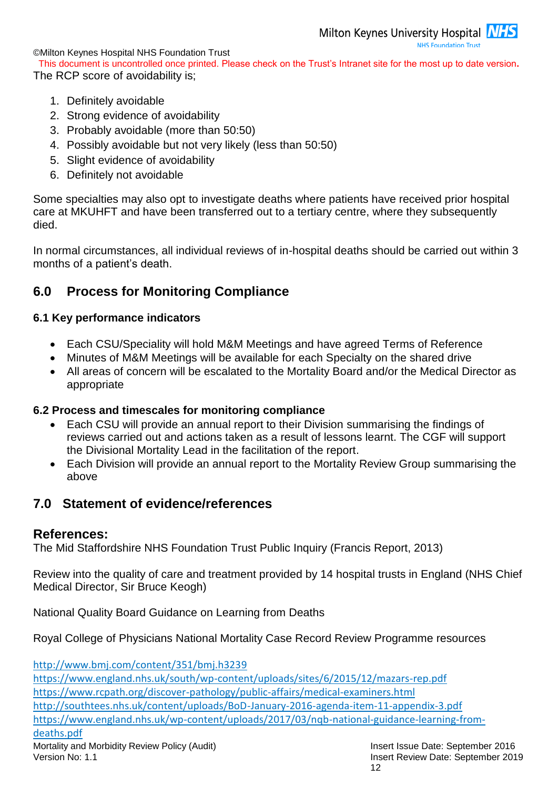**NHS Foundation Trust** 

©Milton Keynes Hospital NHS Foundation Trust

This document is uncontrolled once printed. Please check on the Trust's Intranet site for the most up to date version**.** The RCP score of avoidability is;

- 1. Definitely avoidable
- 2. Strong evidence of avoidability
- 3. Probably avoidable (more than 50:50)
- 4. Possibly avoidable but not very likely (less than 50:50)
- 5. Slight evidence of avoidability
- 6. Definitely not avoidable

Some specialties may also opt to investigate deaths where patients have received prior hospital care at MKUHFT and have been transferred out to a tertiary centre, where they subsequently died.

In normal circumstances, all individual reviews of in-hospital deaths should be carried out within 3 months of a patient's death.

### <span id="page-11-0"></span>**6.0 Process for Monitoring Compliance**

### <span id="page-11-1"></span>**6.1 Key performance indicators**

- Each CSU/Speciality will hold M&M Meetings and have agreed Terms of Reference
- Minutes of M&M Meetings will be available for each Specialty on the shared drive
- All areas of concern will be escalated to the Mortality Board and/or the Medical Director as appropriate

### <span id="page-11-2"></span>**6.2 Process and timescales for monitoring compliance**

- Each CSU will provide an annual report to their Division summarising the findings of reviews carried out and actions taken as a result of lessons learnt. The CGF will support the Divisional Mortality Lead in the facilitation of the report.
- Each Division will provide an annual report to the Mortality Review Group summarising the above

### <span id="page-11-3"></span>**7.0 Statement of evidence/references**

### **References:**

The Mid Staffordshire NHS Foundation Trust Public Inquiry (Francis Report, 2013)

Review into the quality of care and treatment provided by 14 hospital trusts in England (NHS Chief Medical Director, Sir Bruce Keogh)

National Quality Board Guidance on Learning from Deaths

Royal College of Physicians National Mortality Case Record Review Programme resources

<http://www.bmj.com/content/351/bmj.h3239>

<https://www.england.nhs.uk/south/wp-content/uploads/sites/6/2015/12/mazars-rep.pdf> <https://www.rcpath.org/discover-pathology/public-affairs/medical-examiners.html> <http://southtees.nhs.uk/content/uploads/BoD-January-2016-agenda-item-11-appendix-3.pdf> https://www.england.nhs.uk/wp-content/uploads/2017/03/nqb-national-guidance-learning-from-

### deaths.pdf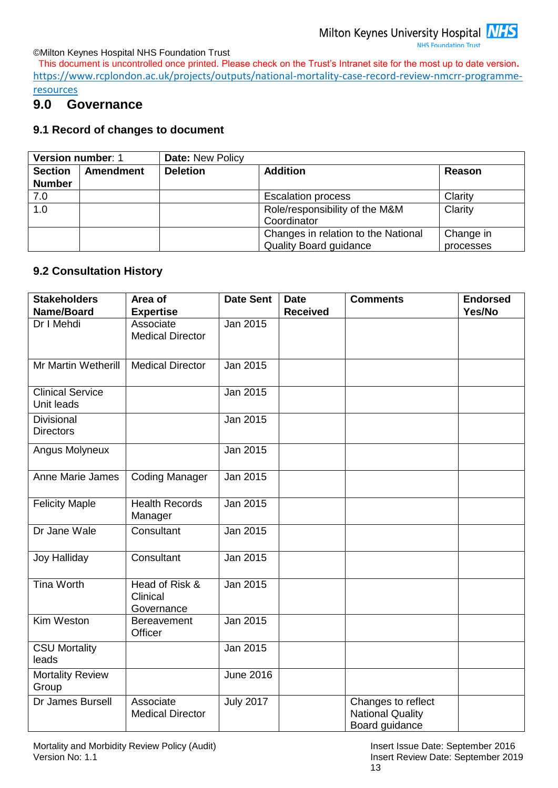This document is uncontrolled once printed. Please check on the Trust's Intranet site for the most up to date version**.** https://www.rcplondon.ac.uk/projects/outputs/national-mortality-case-record-review-nmcrr-programme-

<span id="page-12-0"></span>**resources** 

### **9.0 Governance**

#### <span id="page-12-1"></span>**9.1 Record of changes to document**

| Version number: 1 |                  | <b>Date: New Policy</b>             |                                |           |  |
|-------------------|------------------|-------------------------------------|--------------------------------|-----------|--|
| <b>Section</b>    | <b>Amendment</b> | <b>Deletion</b>                     | <b>Addition</b>                | Reason    |  |
| <b>Number</b>     |                  |                                     |                                |           |  |
| 7.0               |                  |                                     | <b>Escalation process</b>      | Clarity   |  |
| 1.0               |                  |                                     | Role/responsibility of the M&M | Clarity   |  |
|                   |                  |                                     | Coordinator                    |           |  |
|                   |                  | Changes in relation to the National |                                | Change in |  |
|                   |                  |                                     | <b>Quality Board guidance</b>  | processes |  |

#### <span id="page-12-2"></span>**9.2 Consultation History**

| <b>Stakeholders</b><br>Name/Board     | Area of<br><b>Expertise</b>              | <b>Date Sent</b> | <b>Date</b><br><b>Received</b> | <b>Comments</b>                                                 | <b>Endorsed</b><br>Yes/No |
|---------------------------------------|------------------------------------------|------------------|--------------------------------|-----------------------------------------------------------------|---------------------------|
| Dr I Mehdi                            | Associate<br><b>Medical Director</b>     | Jan 2015         |                                |                                                                 |                           |
| Mr Martin Wetherill                   | <b>Medical Director</b>                  | Jan 2015         |                                |                                                                 |                           |
| <b>Clinical Service</b><br>Unit leads |                                          | Jan 2015         |                                |                                                                 |                           |
| Divisional<br><b>Directors</b>        |                                          | Jan 2015         |                                |                                                                 |                           |
| Angus Molyneux                        |                                          | Jan 2015         |                                |                                                                 |                           |
| <b>Anne Marie James</b>               | <b>Coding Manager</b>                    | Jan 2015         |                                |                                                                 |                           |
| <b>Felicity Maple</b>                 | <b>Health Records</b><br>Manager         | Jan 2015         |                                |                                                                 |                           |
| Dr Jane Wale                          | Consultant                               | Jan 2015         |                                |                                                                 |                           |
| <b>Joy Halliday</b>                   | Consultant                               | Jan 2015         |                                |                                                                 |                           |
| <b>Tina Worth</b>                     | Head of Risk &<br>Clinical<br>Governance | Jan 2015         |                                |                                                                 |                           |
| Kim Weston                            | Bereavement<br>Officer                   | Jan 2015         |                                |                                                                 |                           |
| <b>CSU Mortality</b><br>leads         |                                          | Jan 2015         |                                |                                                                 |                           |
| <b>Mortality Review</b><br>Group      |                                          | <b>June 2016</b> |                                |                                                                 |                           |
| Dr James Bursell                      | Associate<br><b>Medical Director</b>     | <b>July 2017</b> |                                | Changes to reflect<br><b>National Quality</b><br>Board guidance |                           |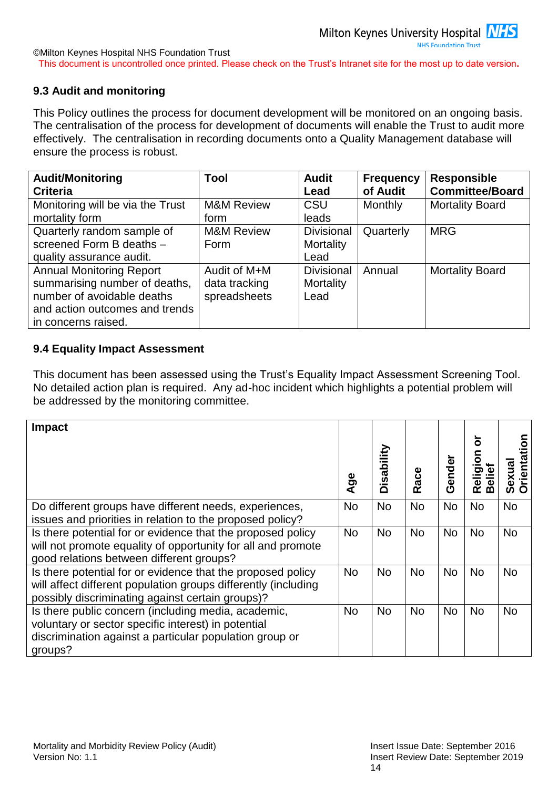### <span id="page-13-0"></span>**9.3 Audit and monitoring**

This Policy outlines the process for document development will be monitored on an ongoing basis. The centralisation of the process for development of documents will enable the Trust to audit more effectively. The centralisation in recording documents onto a Quality Management database will ensure the process is robust.

| <b>Audit/Monitoring</b>          | Tool                  | <b>Audit</b>      | <b>Frequency</b> | <b>Responsible</b>     |
|----------------------------------|-----------------------|-------------------|------------------|------------------------|
| <b>Criteria</b>                  |                       | Lead              | of Audit         | <b>Committee/Board</b> |
| Monitoring will be via the Trust | <b>M&amp;M Review</b> | <b>CSU</b>        | Monthly          | <b>Mortality Board</b> |
| mortality form                   | form                  | leads             |                  |                        |
| Quarterly random sample of       | <b>M&amp;M Review</b> | <b>Divisional</b> | Quarterly        | <b>MRG</b>             |
| screened Form B deaths -         | Form                  | Mortality         |                  |                        |
| quality assurance audit.         |                       | Lead              |                  |                        |
| <b>Annual Monitoring Report</b>  | Audit of M+M          | <b>Divisional</b> | Annual           | <b>Mortality Board</b> |
| summarising number of deaths,    | data tracking         | Mortality         |                  |                        |
| number of avoidable deaths       | spreadsheets          | Lead              |                  |                        |
| and action outcomes and trends   |                       |                   |                  |                        |
| in concerns raised.              |                       |                   |                  |                        |

### <span id="page-13-1"></span>**9.4 Equality Impact Assessment**

This document has been assessed using the Trust's Equality Impact Assessment Screening Tool. No detailed action plan is required. Any ad-hoc incident which highlights a potential problem will be addressed by the monitoring committee.

| <b>Impact</b>                                                                                                                                                                     | $\overline{A}$ ge | Disability | Race      | Gender    | ៦<br>$\overline{5}$<br>elief<br>elig<br>മ<br>$\alpha$ | <b>Orientati</b><br>Sexual |
|-----------------------------------------------------------------------------------------------------------------------------------------------------------------------------------|-------------------|------------|-----------|-----------|-------------------------------------------------------|----------------------------|
| Do different groups have different needs, experiences,<br>issues and priorities in relation to the proposed policy?                                                               | <b>No</b>         | <b>No</b>  | <b>No</b> | <b>No</b> | <b>No</b>                                             | <b>No</b>                  |
| Is there potential for or evidence that the proposed policy<br>will not promote equality of opportunity for all and promote<br>good relations between different groups?           | <b>No</b>         | <b>No</b>  | <b>No</b> | <b>No</b> | <b>No</b>                                             | <b>No</b>                  |
| Is there potential for or evidence that the proposed policy<br>will affect different population groups differently (including<br>possibly discriminating against certain groups)? | No.               | <b>No</b>  | <b>No</b> | <b>No</b> | <b>No</b>                                             | <b>No</b>                  |
| Is there public concern (including media, academic,<br>voluntary or sector specific interest) in potential<br>discrimination against a particular population group or<br>groups?  | No.               | <b>No</b>  | <b>No</b> | <b>No</b> | <b>No</b>                                             | <b>No</b>                  |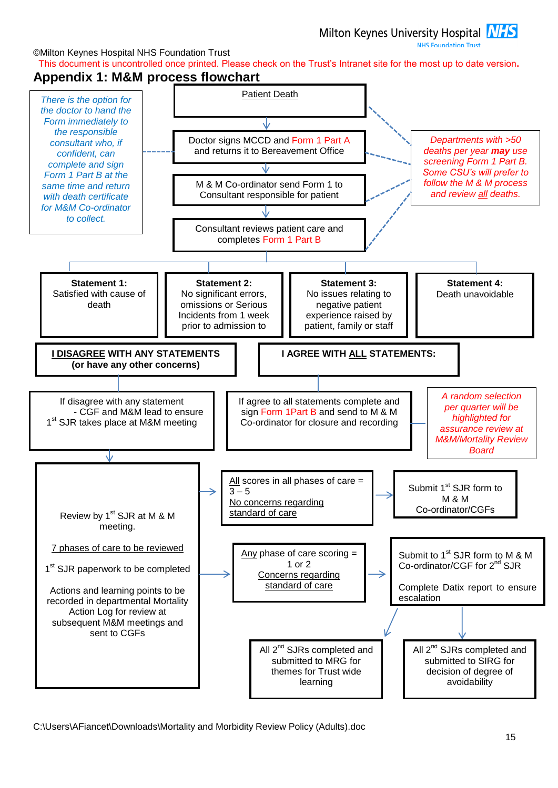**NHS Foundation Trust** 

©Milton Keynes Hospital NHS Foundation Trust This document is uncontrolled once printed. Please check on the Trust's Intranet site for the most up to date version**.**

#### <span id="page-14-0"></span>**Appendix 1: M&M process flowchart**

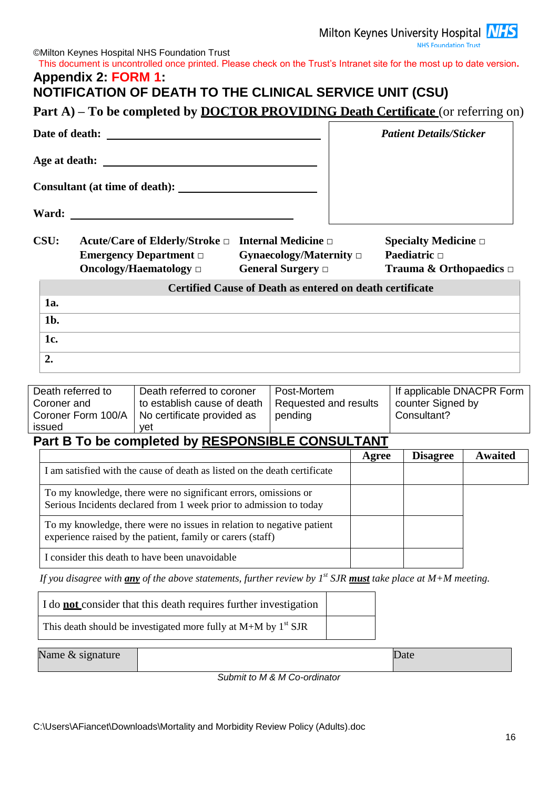Milton Keynes University Hospital **NHS**<br>NHS Foundation Trust

<span id="page-15-0"></span>

|                                                                  | <b>Part A)</b> – To be completed by <b>DOCTOR PROVIDING Death Certificate</b> (or referring on)                                       |                                                                 |       | <b>Patient Details/Sticker</b>                                                 |         |
|------------------------------------------------------------------|---------------------------------------------------------------------------------------------------------------------------------------|-----------------------------------------------------------------|-------|--------------------------------------------------------------------------------|---------|
|                                                                  |                                                                                                                                       |                                                                 |       |                                                                                |         |
|                                                                  |                                                                                                                                       |                                                                 |       |                                                                                |         |
|                                                                  |                                                                                                                                       |                                                                 |       |                                                                                |         |
| Ward:                                                            |                                                                                                                                       |                                                                 |       |                                                                                |         |
| CSU:                                                             | Acute/Care of Elderly/Stroke $\Box$ Internal Medicine $\Box$<br><b>Emergency Department</b> $\Box$<br>Oncology/Haematology $\Box$     | Gynaecology/Maternity $\Box$<br>General Surgery $\Box$          |       | Specialty Medicine $\Box$<br>Paediatric $\Box$<br>Trauma & Orthopaedics $\Box$ |         |
|                                                                  |                                                                                                                                       | <b>Certified Cause of Death as entered on death certificate</b> |       |                                                                                |         |
| 1a.                                                              |                                                                                                                                       |                                                                 |       |                                                                                |         |
| $1b$ .<br>1c.                                                    |                                                                                                                                       |                                                                 |       |                                                                                |         |
| 2.                                                               |                                                                                                                                       |                                                                 |       |                                                                                |         |
|                                                                  |                                                                                                                                       |                                                                 |       |                                                                                |         |
| Death referred to<br>Coroner and<br>Coroner Form 100/A<br>issued | Death referred to coroner<br>to establish cause of death<br>No certificate provided as<br>yet                                         | Post-Mortem<br>Requested and results<br>pending                 |       | If applicable DNACPR Form<br>counter Signed by<br>Consultant?                  |         |
|                                                                  | Part B To be completed by RESPONSIBLE CONSULTANT                                                                                      |                                                                 |       |                                                                                |         |
|                                                                  |                                                                                                                                       |                                                                 |       | <b>Disagree</b>                                                                | Awaited |
|                                                                  |                                                                                                                                       |                                                                 | Agree |                                                                                |         |
|                                                                  | I am satisfied with the cause of death as listed on the death certificate                                                             |                                                                 |       |                                                                                |         |
|                                                                  | To my knowledge, there were no significant errors, omissions or<br>Serious Incidents declared from 1 week prior to admission to today |                                                                 |       |                                                                                |         |
|                                                                  | To my knowledge, there were no issues in relation to negative patient<br>experience raised by the patient, family or carers (staff)   |                                                                 |       |                                                                                |         |
|                                                                  | I consider this death to have been unavoidable                                                                                        |                                                                 |       |                                                                                |         |
|                                                                  | If you disagree with any of the above statements, further review by $1^{st}$ SJR must take place at M+M meeting.                      |                                                                 |       |                                                                                |         |
|                                                                  | I do <b>not</b> consider that this death requires further investigation                                                               |                                                                 |       |                                                                                |         |
|                                                                  | This death should be investigated more fully at $M+M$ by $1st$ SJR                                                                    |                                                                 |       |                                                                                |         |
| Name & signature                                                 |                                                                                                                                       |                                                                 |       | Date                                                                           |         |

*Submit to M & M Co-ordinator*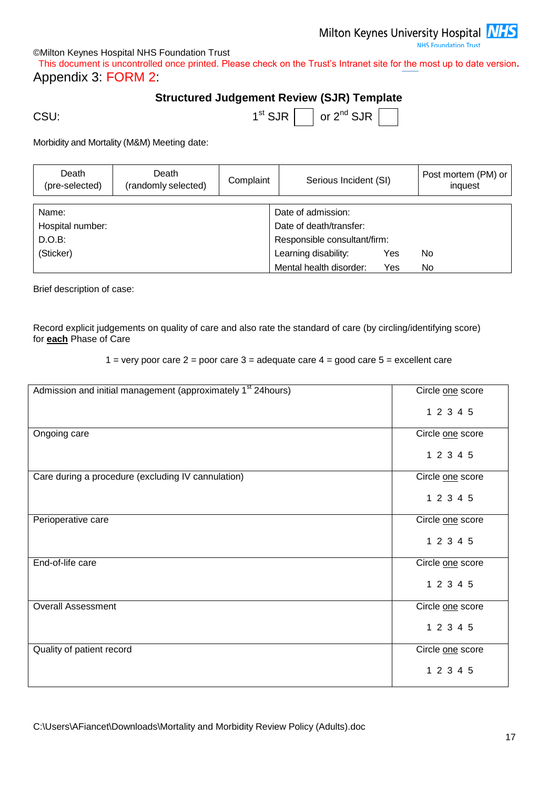**NHS Foundation Trust** 

#### ©Milton Keynes Hospital NHS Foundation Trust

<span id="page-16-0"></span>This document is uncontrolled once printed. Please check on the Trust's Intranet site for the most up to date version**.** Appendix 3: FORM 2:

### **Structured Judgement Review (SJR) Template**

CSU: the contract of the contract of the contract of the contract of the contract of the contract of the contract of the contract of the contract of the contract of the contract of the contract of the contract of the contr

| $1st$ SJR $ $ | $\vert$ or 2 <sup>nd</sup> SJR $\vert$ |  |
|---------------|----------------------------------------|--|

Morbidity and Mortality (M&M) Meeting date:

| Death<br>(pre-selected) | Death<br>(randomly selected) | Complaint                          | Serious Incident (SI)        |     | Post mortem (PM) or<br>inquest |  |  |
|-------------------------|------------------------------|------------------------------------|------------------------------|-----|--------------------------------|--|--|
|                         |                              |                                    |                              |     |                                |  |  |
| Name:                   | Date of admission:           |                                    |                              |     |                                |  |  |
| Hospital number:        |                              |                                    | Date of death/transfer:      |     |                                |  |  |
| D.O.B:                  |                              |                                    | Responsible consultant/firm: |     |                                |  |  |
| (Sticker)               |                              | Learning disability:<br>No.<br>Yes |                              |     |                                |  |  |
|                         |                              |                                    | Mental health disorder:      | Yes | No.                            |  |  |

Brief description of case:

Record explicit judgements on quality of care and also rate the standard of care (by circling/identifying score) for **each** Phase of Care

1 = very poor care  $2$  = poor care  $3$  = adequate care  $4$  = good care  $5$  = excellent care

| Admission and initial management (approximately 1 <sup>st</sup> 24hours) | Circle one score |
|--------------------------------------------------------------------------|------------------|
|                                                                          | 1 2 3 4 5        |
| Ongoing care                                                             | Circle one score |
|                                                                          | 1 2 3 4 5        |
| Care during a procedure (excluding IV cannulation)                       | Circle one score |
|                                                                          | 1 2 3 4 5        |
| Perioperative care                                                       | Circle one score |
|                                                                          | 1 2 3 4 5        |
| End-of-life care                                                         | Circle one score |
|                                                                          | 1 2 3 4 5        |
| <b>Overall Assessment</b>                                                | Circle one score |
|                                                                          | 1 2 3 4 5        |
| Quality of patient record                                                | Circle one score |
|                                                                          | 1 2 3 4 5        |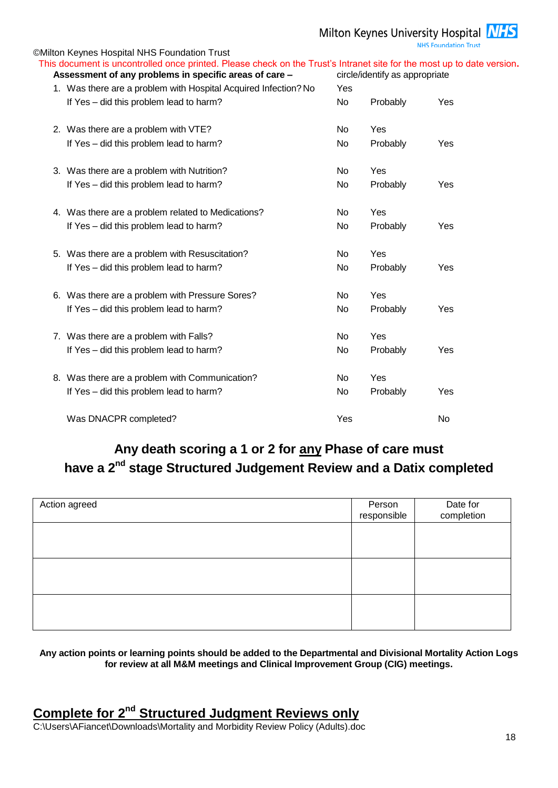**NHS Foundation Trust** 

| <b>©Milton Keynes Hospital NHS Foundation Trust</b>                                                                    |     |                                |     |
|------------------------------------------------------------------------------------------------------------------------|-----|--------------------------------|-----|
| This document is uncontrolled once printed. Please check on the Trust's Intranet site for the most up to date version. |     |                                |     |
| Assessment of any problems in specific areas of care -                                                                 |     | circle/identify as appropriate |     |
| 1. Was there are a problem with Hospital Acquired Infection? No                                                        | Yes |                                |     |
| If Yes - did this problem lead to harm?                                                                                | No  | Probably                       | Yes |
| 2. Was there are a problem with VTE?                                                                                   | No  | Yes                            |     |
| If Yes - did this problem lead to harm?                                                                                | No  | Probably                       | Yes |
| 3. Was there are a problem with Nutrition?                                                                             | No  | Yes                            |     |
| If Yes - did this problem lead to harm?                                                                                | No  | Probably                       | Yes |
| 4. Was there are a problem related to Medications?                                                                     | No  | Yes                            |     |
| If Yes - did this problem lead to harm?                                                                                | No  | Probably                       | Yes |
| 5. Was there are a problem with Resuscitation?                                                                         | No  | Yes                            |     |
| If Yes - did this problem lead to harm?                                                                                | No  | Probably                       | Yes |
| 6. Was there are a problem with Pressure Sores?                                                                        | No  | Yes                            |     |
| If Yes - did this problem lead to harm?                                                                                | No  | Probably                       | Yes |
| 7. Was there are a problem with Falls?                                                                                 | No  | Yes                            |     |
| If Yes - did this problem lead to harm?                                                                                | No  | Probably                       | Yes |
| 8. Was there are a problem with Communication?                                                                         | No  | Yes                            |     |
| If Yes - did this problem lead to harm?                                                                                | No  | Probably                       | Yes |
| Was DNACPR completed?                                                                                                  | Yes |                                | No  |
|                                                                                                                        |     |                                |     |

# **Any death scoring a 1 or 2 for any Phase of care must have a 2nd stage Structured Judgement Review and a Datix completed**

| Person<br>responsible | Date for<br>completion |
|-----------------------|------------------------|
|                       |                        |
|                       |                        |
|                       |                        |
|                       |                        |
|                       |                        |
|                       |                        |

#### **Any action points or learning points should be added to the Departmental and Divisional Mortality Action Logs for review at all M&M meetings and Clinical Improvement Group (CIG) meetings.**

### **Complete for 2<sup>nd</sup> Structured Judgment Reviews only**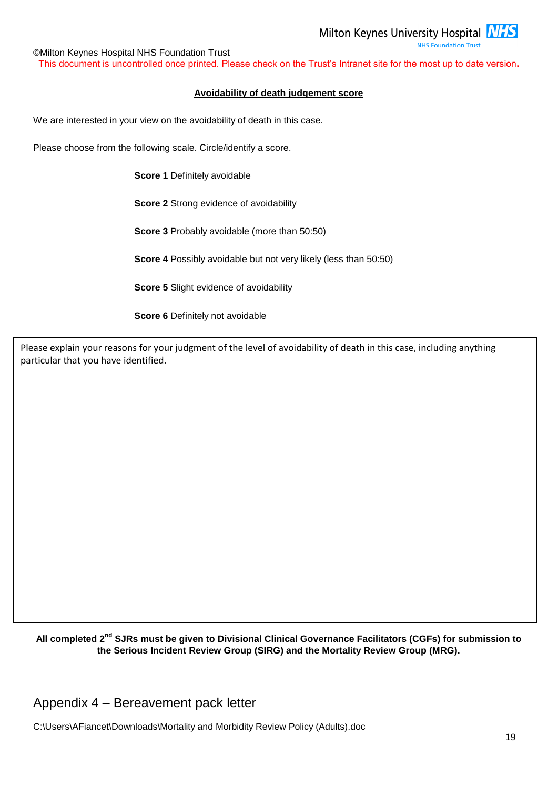**NHS Foundation Trust** 

©Milton Keynes Hospital NHS Foundation Trust This document is uncontrolled once printed. Please check on the Trust's Intranet site for the most up to date version**.**

#### **Avoidability of death judgement score**

We are interested in your view on the avoidability of death in this case.

Please choose from the following scale. Circle/identify a score.

**Score 1** Definitely avoidable

**Score 2** Strong evidence of avoidability

**Score 3** Probably avoidable (more than 50:50)

**Score 4** Possibly avoidable but not very likely (less than 50:50)

**Score 5** Slight evidence of avoidability

**Score 6** Definitely not avoidable

Please explain your reasons for your judgment of the level of avoidability of death in this case, including anything particular that you have identified.

**All completed 2nd SJRs must be given to Divisional Clinical Governance Facilitators (CGFs) for submission to the Serious Incident Review Group (SIRG) and the Mortality Review Group (MRG).**

Appendix 4 – Bereavement pack letter